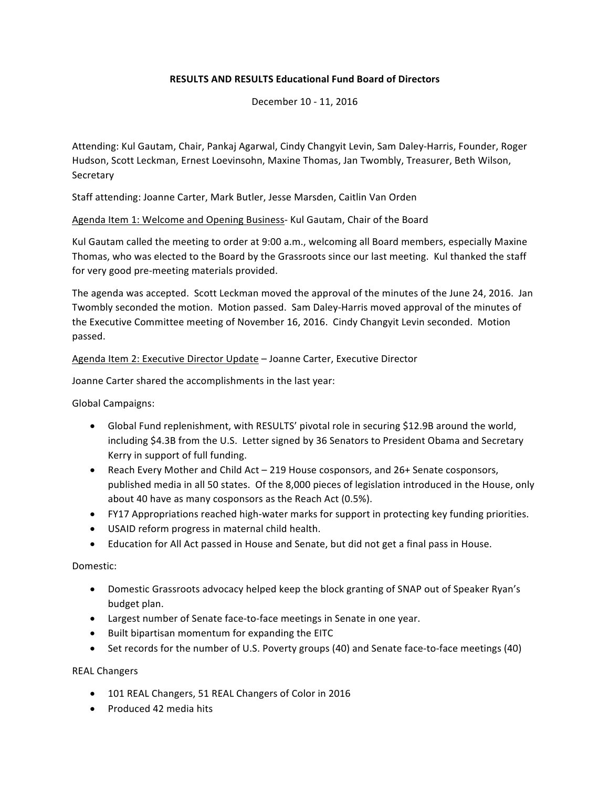# **RESULTS AND RESULTS Educational Fund Board of Directors**

December 10 - 11, 2016

Attending: Kul Gautam, Chair, Pankaj Agarwal, Cindy Changyit Levin, Sam Daley-Harris, Founder, Roger Hudson, Scott Leckman, Ernest Loevinsohn, Maxine Thomas, Jan Twombly, Treasurer, Beth Wilson, **Secretary** 

Staff attending: Joanne Carter, Mark Butler, Jesse Marsden, Caitlin Van Orden

Agenda Item 1: Welcome and Opening Business- Kul Gautam, Chair of the Board

Kul Gautam called the meeting to order at 9:00 a.m., welcoming all Board members, especially Maxine Thomas, who was elected to the Board by the Grassroots since our last meeting. Kul thanked the staff for very good pre-meeting materials provided.

The agenda was accepted. Scott Leckman moved the approval of the minutes of the June 24, 2016. Jan Twombly seconded the motion. Motion passed. Sam Daley-Harris moved approval of the minutes of the Executive Committee meeting of November 16, 2016. Cindy Changyit Levin seconded. Motion passed.

Agenda Item 2: Executive Director Update – Joanne Carter, Executive Director

Joanne Carter shared the accomplishments in the last year:

Global Campaigns:

- Global Fund replenishment, with RESULTS' pivotal role in securing \$12.9B around the world, including \$4.3B from the U.S. Letter signed by 36 Senators to President Obama and Secretary Kerry in support of full funding.
- Reach Every Mother and Child Act 219 House cosponsors, and 26+ Senate cosponsors, published media in all 50 states. Of the 8,000 pieces of legislation introduced in the House, only about 40 have as many cosponsors as the Reach Act (0.5%).
- FY17 Appropriations reached high-water marks for support in protecting key funding priorities.
- USAID reform progress in maternal child health.
- Education for All Act passed in House and Senate, but did not get a final pass in House.

Domestic:

- Domestic Grassroots advocacy helped keep the block granting of SNAP out of Speaker Ryan's budget plan.
- Largest number of Senate face-to-face meetings in Senate in one year.
- Built bipartisan momentum for expanding the EITC
- Set records for the number of U.S. Poverty groups (40) and Senate face-to-face meetings (40)

REAL Changers

- 101 REAL Changers, 51 REAL Changers of Color in 2016
- Produced 42 media hits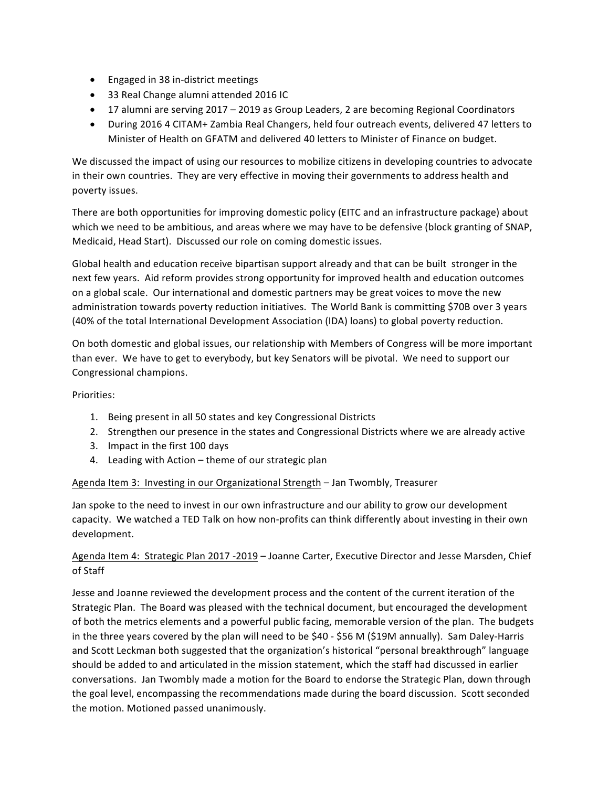- Engaged in 38 in-district meetings
- 33 Real Change alumni attended 2016 IC
- 17 alumni are serving 2017 2019 as Group Leaders, 2 are becoming Regional Coordinators
- During 2016 4 CITAM+ Zambia Real Changers, held four outreach events, delivered 47 letters to Minister of Health on GFATM and delivered 40 letters to Minister of Finance on budget.

We discussed the impact of using our resources to mobilize citizens in developing countries to advocate in their own countries. They are very effective in moving their governments to address health and poverty issues.

There are both opportunities for improving domestic policy (EITC and an infrastructure package) about which we need to be ambitious, and areas where we may have to be defensive (block granting of SNAP, Medicaid, Head Start). Discussed our role on coming domestic issues.

Global health and education receive bipartisan support already and that can be built stronger in the next few years. Aid reform provides strong opportunity for improved health and education outcomes on a global scale. Our international and domestic partners may be great voices to move the new administration towards poverty reduction initiatives. The World Bank is committing \$70B over 3 years (40% of the total International Development Association (IDA) loans) to global poverty reduction.

On both domestic and global issues, our relationship with Members of Congress will be more important than ever. We have to get to everybody, but key Senators will be pivotal. We need to support our Congressional champions.

# Priorities:

- 1. Being present in all 50 states and key Congressional Districts
- 2. Strengthen our presence in the states and Congressional Districts where we are already active
- 3. Impact in the first 100 days
- 4. Leading with Action theme of our strategic plan

### Agenda Item 3: Investing in our Organizational Strength – Jan Twombly, Treasurer

Jan spoke to the need to invest in our own infrastructure and our ability to grow our development capacity. We watched a TED Talk on how non-profits can think differently about investing in their own development.

# Agenda Item 4: Strategic Plan 2017 -2019 - Joanne Carter, Executive Director and Jesse Marsden, Chief of Staff

Jesse and Joanne reviewed the development process and the content of the current iteration of the Strategic Plan. The Board was pleased with the technical document, but encouraged the development of both the metrics elements and a powerful public facing, memorable version of the plan. The budgets in the three years covered by the plan will need to be \$40 - \$56 M (\$19M annually). Sam Daley-Harris and Scott Leckman both suggested that the organization's historical "personal breakthrough" language should be added to and articulated in the mission statement, which the staff had discussed in earlier conversations. Jan Twombly made a motion for the Board to endorse the Strategic Plan, down through the goal level, encompassing the recommendations made during the board discussion. Scott seconded the motion. Motioned passed unanimously.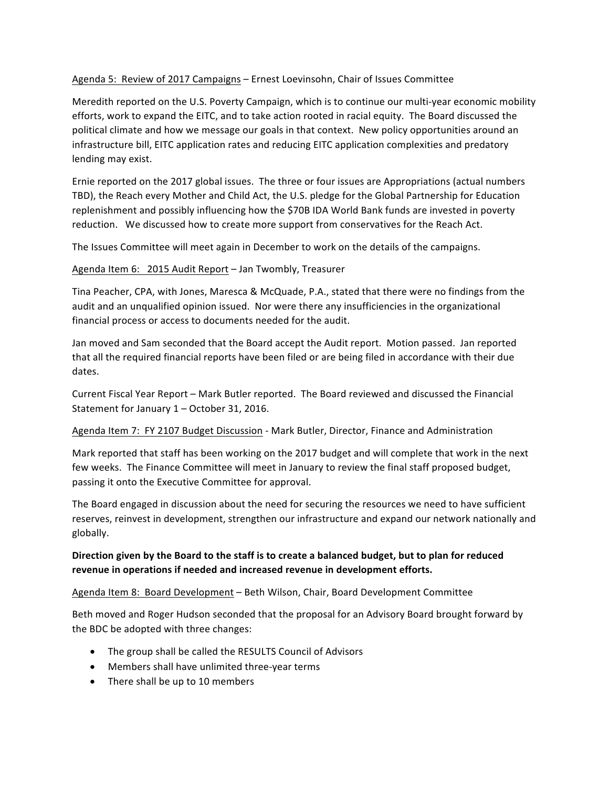Agenda 5: Review of 2017 Campaigns – Ernest Loevinsohn, Chair of Issues Committee

Meredith reported on the U.S. Poverty Campaign, which is to continue our multi-year economic mobility efforts, work to expand the EITC, and to take action rooted in racial equity. The Board discussed the political climate and how we message our goals in that context. New policy opportunities around an infrastructure bill, EITC application rates and reducing EITC application complexities and predatory lending may exist.

Ernie reported on the 2017 global issues. The three or four issues are Appropriations (actual numbers TBD), the Reach every Mother and Child Act, the U.S. pledge for the Global Partnership for Education replenishment and possibly influencing how the \$70B IDA World Bank funds are invested in poverty reduction. We discussed how to create more support from conservatives for the Reach Act.

The Issues Committee will meet again in December to work on the details of the campaigns.

Agenda Item 6: 2015 Audit Report – Jan Twombly, Treasurer

Tina Peacher, CPA, with Jones, Maresca & McQuade, P.A., stated that there were no findings from the audit and an unqualified opinion issued. Nor were there any insufficiencies in the organizational financial process or access to documents needed for the audit.

Jan moved and Sam seconded that the Board accept the Audit report. Motion passed. Jan reported that all the required financial reports have been filed or are being filed in accordance with their due dates. 

Current Fiscal Year Report - Mark Butler reported. The Board reviewed and discussed the Financial Statement for January  $1 -$  October 31, 2016.

Agenda Item 7: FY 2107 Budget Discussion - Mark Butler, Director, Finance and Administration

Mark reported that staff has been working on the 2017 budget and will complete that work in the next few weeks. The Finance Committee will meet in January to review the final staff proposed budget, passing it onto the Executive Committee for approval.

The Board engaged in discussion about the need for securing the resources we need to have sufficient reserves, reinvest in development, strengthen our infrastructure and expand our network nationally and globally. 

# Direction given by the Board to the staff is to create a balanced budget, but to plan for reduced **revenue** in operations if needed and increased revenue in development efforts.

Agenda Item 8: Board Development – Beth Wilson, Chair, Board Development Committee

Beth moved and Roger Hudson seconded that the proposal for an Advisory Board brought forward by the BDC be adopted with three changes:

- The group shall be called the RESULTS Council of Advisors
- Members shall have unlimited three-year terms
- There shall be up to 10 members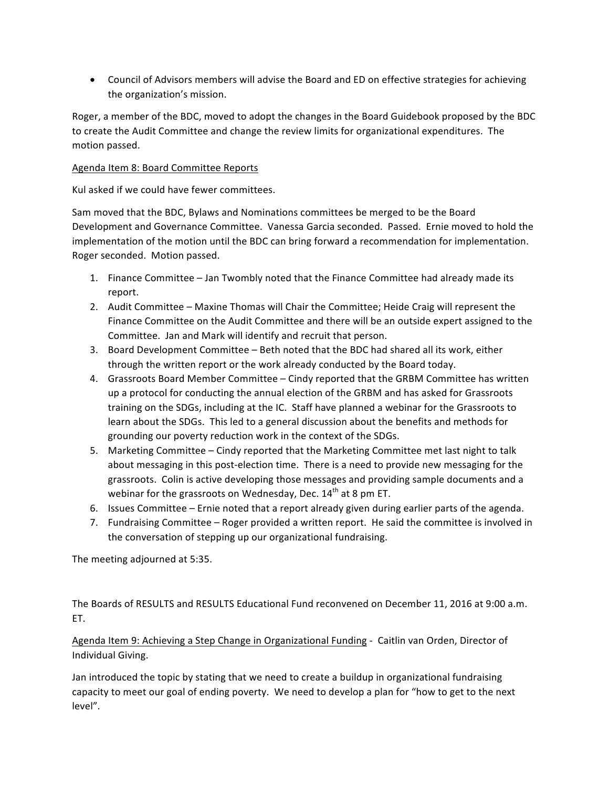• Council of Advisors members will advise the Board and ED on effective strategies for achieving the organization's mission.

Roger, a member of the BDC, moved to adopt the changes in the Board Guidebook proposed by the BDC to create the Audit Committee and change the review limits for organizational expenditures. The motion passed.

#### Agenda Item 8: Board Committee Reports

Kul asked if we could have fewer committees.

Sam moved that the BDC, Bylaws and Nominations committees be merged to be the Board Development and Governance Committee. Vanessa Garcia seconded. Passed. Ernie moved to hold the implementation of the motion until the BDC can bring forward a recommendation for implementation. Roger seconded. Motion passed.

- 1. Finance Committee Jan Twombly noted that the Finance Committee had already made its report.
- 2. Audit Committee Maxine Thomas will Chair the Committee; Heide Craig will represent the Finance Committee on the Audit Committee and there will be an outside expert assigned to the Committee. Jan and Mark will identify and recruit that person.
- 3. Board Development Committee Beth noted that the BDC had shared all its work, either through the written report or the work already conducted by the Board today.
- 4. Grassroots Board Member Committee Cindy reported that the GRBM Committee has written up a protocol for conducting the annual election of the GRBM and has asked for Grassroots training on the SDGs, including at the IC. Staff have planned a webinar for the Grassroots to learn about the SDGs. This led to a general discussion about the benefits and methods for grounding our poverty reduction work in the context of the SDGs.
- 5. Marketing Committee Cindy reported that the Marketing Committee met last night to talk about messaging in this post-election time. There is a need to provide new messaging for the grassroots. Colin is active developing those messages and providing sample documents and a webinar for the grassroots on Wednesday, Dec.  $14<sup>th</sup>$  at 8 pm ET.
- 6. Issues Committee Ernie noted that a report already given during earlier parts of the agenda.
- 7. Fundraising Committee Roger provided a written report. He said the committee is involved in the conversation of stepping up our organizational fundraising.

The meeting adjourned at 5:35.

The Boards of RESULTS and RESULTS Educational Fund reconvened on December 11, 2016 at 9:00 a.m. ET.

Agenda Item 9: Achieving a Step Change in Organizational Funding - Caitlin van Orden, Director of Individual Giving.

Jan introduced the topic by stating that we need to create a buildup in organizational fundraising capacity to meet our goal of ending poverty. We need to develop a plan for "how to get to the next level".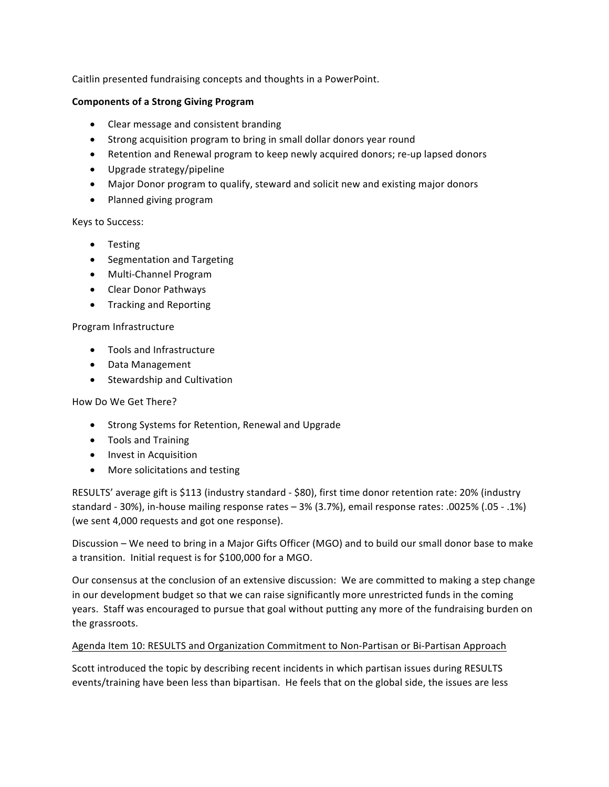Caitlin presented fundraising concepts and thoughts in a PowerPoint.

### **Components of a Strong Giving Program**

- Clear message and consistent branding
- Strong acquisition program to bring in small dollar donors year round
- Retention and Renewal program to keep newly acquired donors; re-up lapsed donors
- Upgrade strategy/pipeline
- Major Donor program to qualify, steward and solicit new and existing major donors
- Planned giving program

### Keys to Success:

- Testing
- Segmentation and Targeting
- Multi-Channel Program
- Clear Donor Pathways
- Tracking and Reporting

### Program Infrastructure

- Tools and Infrastructure
- Data Management
- Stewardship and Cultivation

### How Do We Get There?

- Strong Systems for Retention, Renewal and Upgrade
- Tools and Training
- Invest in Acquisition
- More solicitations and testing

RESULTS' average gift is \$113 (industry standard - \$80), first time donor retention rate: 20% (industry standard - 30%), in-house mailing response rates - 3% (3.7%), email response rates: .0025% (.05 - .1%) (we sent 4,000 requests and got one response).

Discussion – We need to bring in a Major Gifts Officer (MGO) and to build our small donor base to make a transition. Initial request is for \$100,000 for a MGO.

Our consensus at the conclusion of an extensive discussion: We are committed to making a step change in our development budget so that we can raise significantly more unrestricted funds in the coming years. Staff was encouraged to pursue that goal without putting any more of the fundraising burden on the grassroots.

## Agenda Item 10: RESULTS and Organization Commitment to Non-Partisan or Bi-Partisan Approach

Scott introduced the topic by describing recent incidents in which partisan issues during RESULTS events/training have been less than bipartisan. He feels that on the global side, the issues are less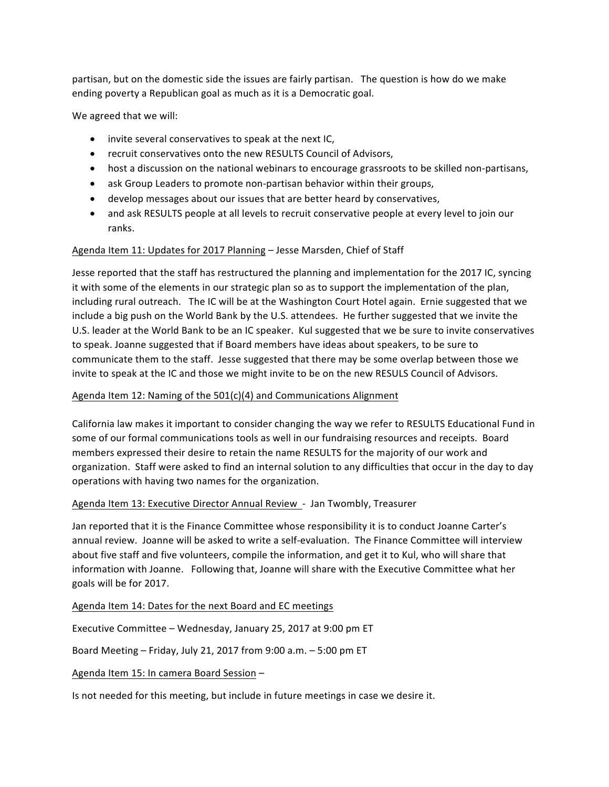partisan, but on the domestic side the issues are fairly partisan. The question is how do we make ending poverty a Republican goal as much as it is a Democratic goal.

We agreed that we will:

- $\bullet$  invite several conservatives to speak at the next IC,
- recruit conservatives onto the new RESULTS Council of Advisors,
- host a discussion on the national webinars to encourage grassroots to be skilled non-partisans,
- ask Group Leaders to promote non-partisan behavior within their groups,
- develop messages about our issues that are better heard by conservatives,
- and ask RESULTS people at all levels to recruit conservative people at every level to join our ranks.

### Agenda Item 11: Updates for 2017 Planning - Jesse Marsden, Chief of Staff

Jesse reported that the staff has restructured the planning and implementation for the 2017 IC, syncing it with some of the elements in our strategic plan so as to support the implementation of the plan, including rural outreach. The IC will be at the Washington Court Hotel again. Ernie suggested that we include a big push on the World Bank by the U.S. attendees. He further suggested that we invite the U.S. leader at the World Bank to be an IC speaker. Kul suggested that we be sure to invite conservatives to speak. Joanne suggested that if Board members have ideas about speakers, to be sure to communicate them to the staff. Jesse suggested that there may be some overlap between those we invite to speak at the IC and those we might invite to be on the new RESULS Council of Advisors.

#### Agenda Item 12: Naming of the  $501(c)(4)$  and Communications Alignment

California law makes it important to consider changing the way we refer to RESULTS Educational Fund in some of our formal communications tools as well in our fundraising resources and receipts. Board members expressed their desire to retain the name RESULTS for the majority of our work and organization. Staff were asked to find an internal solution to any difficulties that occur in the day to day operations with having two names for the organization.

#### Agenda Item 13: Executive Director Annual Review - Jan Twombly, Treasurer

Jan reported that it is the Finance Committee whose responsibility it is to conduct Joanne Carter's annual review. Joanne will be asked to write a self-evaluation. The Finance Committee will interview about five staff and five volunteers, compile the information, and get it to Kul, who will share that information with Joanne. Following that, Joanne will share with the Executive Committee what her goals will be for 2017.

Agenda Item 14: Dates for the next Board and EC meetings

Executive Committee - Wednesday, January 25, 2017 at 9:00 pm ET

Board Meeting – Friday, July 21, 2017 from  $9:00$  a.m.  $-5:00$  pm ET

Agenda Item 15: In camera Board Session –

Is not needed for this meeting, but include in future meetings in case we desire it.